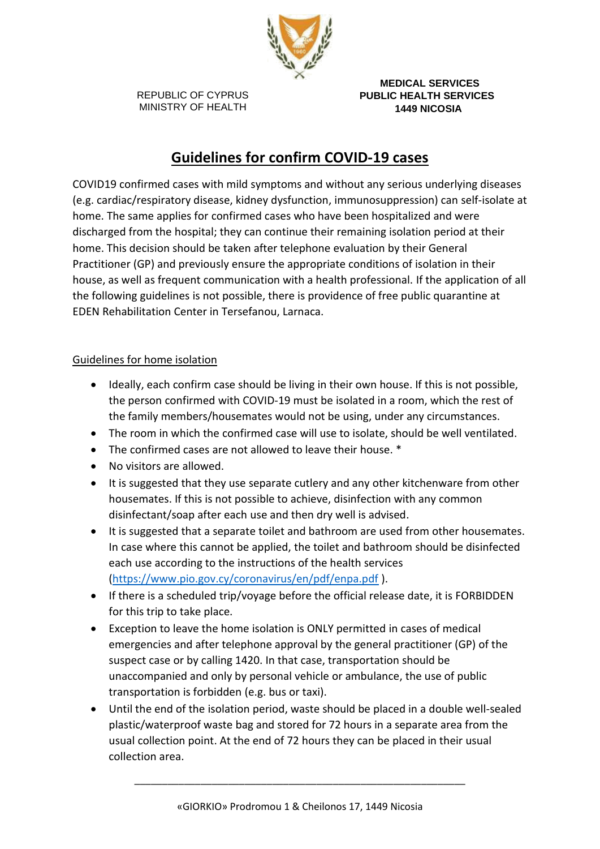

 **MEDICAL SERVICES PUBLIC HEALTH SERVICES 1449 NICOSIA**

# **Guidelines for confirm COVID-19 cases**

COVID19 confirmed cases with mild symptoms and without any serious underlying diseases (e.g. cardiac/respiratory disease, kidney dysfunction, immunosuppression) can self-isolate at home. The same applies for confirmed cases who have been hospitalized and were discharged from the hospital; they can continue their remaining isolation period at their home. This decision should be taken after telephone evaluation by their General Practitioner (GP) and previously ensure the appropriate conditions of isolation in their house, as well as frequent communication with a health professional. If the application of all the following guidelines is not possible, there is providence of free public quarantine at EDEN Rehabilitation Center in Tersefanou, Larnaca.

## Guidelines for home isolation

- Ideally, each confirm case should be living in their own house. If this is not possible, the person confirmed with COVID-19 must be isolated in a room, which the rest of the family members/housemates would not be using, under any circumstances.
- The room in which the confirmed case will use to isolate, should be well ventilated.
- The confirmed cases are not allowed to leave their house. \*
- No visitors are allowed.
- It is suggested that they use separate cutlery and any other kitchenware from other housemates. If this is not possible to achieve, disinfection with any common disinfectant/soap after each use and then dry well is advised.
- It is suggested that a separate toilet and bathroom are used from other housemates. In case where this cannot be applied, the toilet and bathroom should be disinfected each use according to the instructions of the health services [\(https://www.pio.gov.cy/coronavirus/en/pdf/enpa.pdf](https://www.pio.gov.cy/coronavirus/en/pdf/enpa.pdf) ).
- If there is a scheduled trip/voyage before the official release date, it is FORBIDDEN for this trip to take place.
- Exception to leave the home isolation is ONLY permitted in cases of medical emergencies and after telephone approval by the general practitioner (GP) of the suspect case or by calling 1420. In that case, transportation should be unaccompanied and only by personal vehicle or ambulance, the use of public transportation is forbidden (e.g. bus or taxi).
- Until the end of the isolation period, waste should be placed in a double well-sealed plastic/waterproof waste bag and stored for 72 hours in a separate area from the usual collection point. At the end of 72 hours they can be placed in their usual collection area.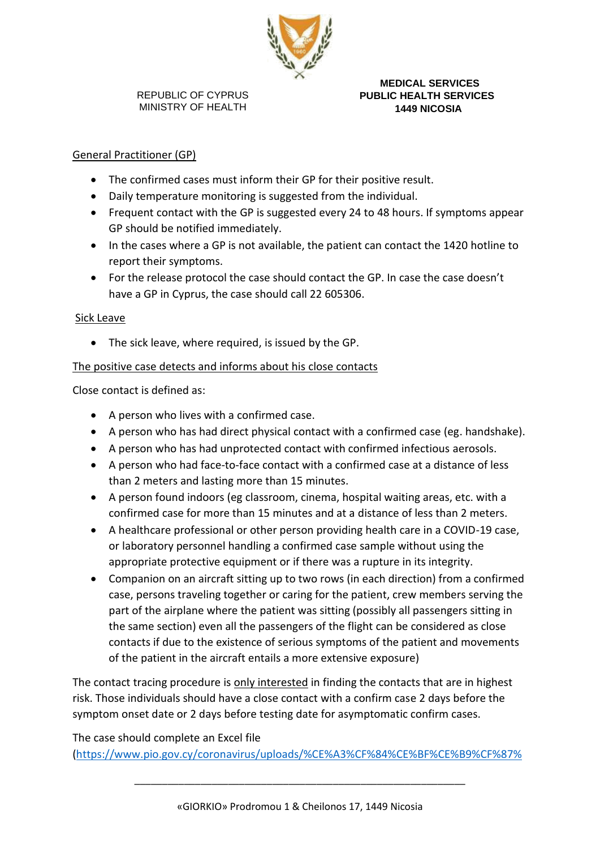

 **MEDICAL SERVICES PUBLIC HEALTH SERVICES 1449 NICOSIA**

### General Practitioner (GP)

- The confirmed cases must inform their GP for their positive result.
- Daily temperature monitoring is suggested from the individual.
- Frequent contact with the GP is suggested every 24 to 48 hours. If symptoms appear GP should be notified immediately.
- In the cases where a GP is not available, the patient can contact the 1420 hotline to report their symptoms.
- For the release protocol the case should contact the GP. In case the case doesn't have a GP in Cyprus, the case should call 22 605306.

#### Sick Leave

• The sick leave, where required, is issued by the GP.

#### The positive case detects and informs about his close contacts

Close contact is defined as:

- A person who lives with a confirmed case.
- A person who has had direct physical contact with a confirmed case (eg. handshake).
- A person who has had unprotected contact with confirmed infectious aerosols.
- A person who had face-to-face contact with a confirmed case at a distance of less than 2 meters and lasting more than 15 minutes.
- A person found indoors (eg classroom, cinema, hospital waiting areas, etc. with a confirmed case for more than 15 minutes and at a distance of less than 2 meters.
- A healthcare professional or other person providing health care in a COVID-19 case, or laboratory personnel handling a confirmed case sample without using the appropriate protective equipment or if there was a rupture in its integrity.
- Companion on an aircraft sitting up to two rows (in each direction) from a confirmed case, persons traveling together or caring for the patient, crew members serving the part of the airplane where the patient was sitting (possibly all passengers sitting in the same section) even all the passengers of the flight can be considered as close contacts if due to the existence of serious symptoms of the patient and movements of the patient in the aircraft entails a more extensive exposure)

The contact tracing procedure is only interested in finding the contacts that are in highest risk. Those individuals should have a close contact with a confirm case 2 days before the symptom onset date or 2 days before testing date for asymptomatic confirm cases.

The case should complete an Excel file

[\(https://www.pio.gov.cy/coronavirus/uploads/%CE%A3%CF%84%CE%BF%CE%B9%CF%87%](https://www.pio.gov.cy/coronavirus/uploads/%CE%A3%CF%84%CE%BF%CE%B9%CF%87%CE%B5%CE%AF%CE%B1%20%CE%A3%CF%84%CE%B5%CE%BD%CF%8E%CE%BD%20%CE%95%CF%80%CE%B1%CF%86%CF%8E%CE%BD%20%CE%9A%CE%9F%CE%99%CE%9D%CE%A9%CE%9D%CE%99%CE%9A%CE%97%CE%A3%20%CE%96%CE%A9%CE%97%CE%A3.xls)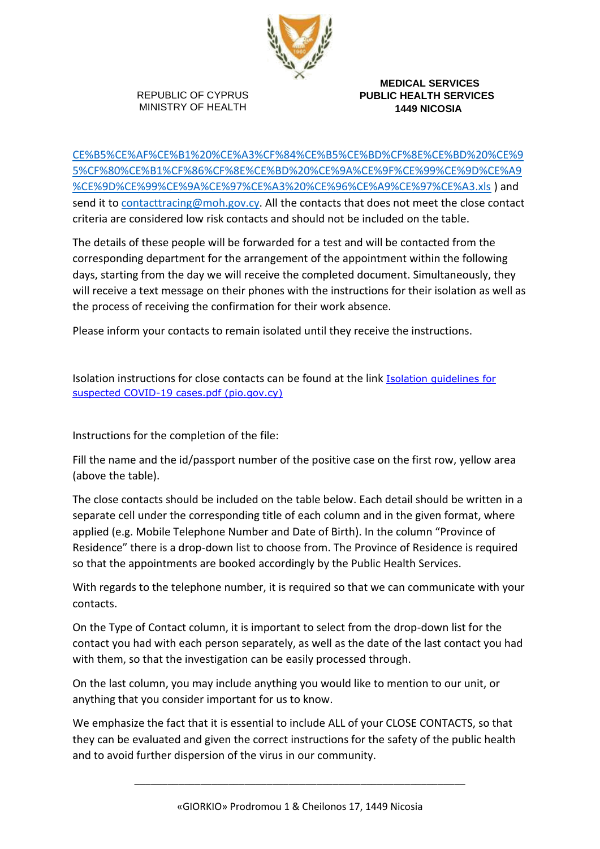

 **MEDICAL SERVICES PUBLIC HEALTH SERVICES 1449 NICOSIA**

[CE%B5%CE%AF%CE%B1%20%CE%A3%CF%84%CE%B5%CE%BD%CF%8E%CE%BD%20%CE%9](https://www.pio.gov.cy/coronavirus/uploads/%CE%A3%CF%84%CE%BF%CE%B9%CF%87%CE%B5%CE%AF%CE%B1%20%CE%A3%CF%84%CE%B5%CE%BD%CF%8E%CE%BD%20%CE%95%CF%80%CE%B1%CF%86%CF%8E%CE%BD%20%CE%9A%CE%9F%CE%99%CE%9D%CE%A9%CE%9D%CE%99%CE%9A%CE%97%CE%A3%20%CE%96%CE%A9%CE%97%CE%A3.xls) [5%CF%80%CE%B1%CF%86%CF%8E%CE%BD%20%CE%9A%CE%9F%CE%99%CE%9D%CE%A9](https://www.pio.gov.cy/coronavirus/uploads/%CE%A3%CF%84%CE%BF%CE%B9%CF%87%CE%B5%CE%AF%CE%B1%20%CE%A3%CF%84%CE%B5%CE%BD%CF%8E%CE%BD%20%CE%95%CF%80%CE%B1%CF%86%CF%8E%CE%BD%20%CE%9A%CE%9F%CE%99%CE%9D%CE%A9%CE%9D%CE%99%CE%9A%CE%97%CE%A3%20%CE%96%CE%A9%CE%97%CE%A3.xls) [%CE%9D%CE%99%CE%9A%CE%97%CE%A3%20%CE%96%CE%A9%CE%97%CE%A3.xls](https://www.pio.gov.cy/coronavirus/uploads/%CE%A3%CF%84%CE%BF%CE%B9%CF%87%CE%B5%CE%AF%CE%B1%20%CE%A3%CF%84%CE%B5%CE%BD%CF%8E%CE%BD%20%CE%95%CF%80%CE%B1%CF%86%CF%8E%CE%BD%20%CE%9A%CE%9F%CE%99%CE%9D%CE%A9%CE%9D%CE%99%CE%9A%CE%97%CE%A3%20%CE%96%CE%A9%CE%97%CE%A3.xls) ) and send it to [contacttracing@moh.gov.cy.](mailto:contacttracing@moh.gov.cy) All the contacts that does not meet the close contact criteria are considered low risk contacts and should not be included on the table.

The details of these people will be forwarded for a test and will be contacted from the corresponding department for the arrangement of the appointment within the following days, starting from the day we will receive the completed document. Simultaneously, they will receive a text message on their phones with the instructions for their isolation as well as the process of receiving the confirmation for their work absence.

Please inform your contacts to remain isolated until they receive the instructions.

Isolation instructions for close contacts can be found at the link [Isolation guidelines for](https://www.pio.gov.cy/coronavirus/uploads/Isolation%20guidelines%20for%20suspected%20COVID-19%20cases.pdf)  [suspected COVID-19 cases.pdf \(pio.gov.cy\)](https://www.pio.gov.cy/coronavirus/uploads/Isolation%20guidelines%20for%20suspected%20COVID-19%20cases.pdf)

Instructions for the completion of the file:

Fill the name and the id/passport number of the positive case on the first row, yellow area (above the table).

The close contacts should be included on the table below. Each detail should be written in a separate cell under the corresponding title of each column and in the given format, where applied (e.g. Mobile Telephone Number and Date of Birth). In the column "Province of Residence" there is a drop-down list to choose from. The Province of Residence is required so that the appointments are booked accordingly by the Public Health Services.

With regards to the telephone number, it is required so that we can communicate with your contacts.

On the Type of Contact column, it is important to select from the drop-down list for the contact you had with each person separately, as well as the date of the last contact you had with them, so that the investigation can be easily processed through.

On the last column, you may include anything you would like to mention to our unit, or anything that you consider important for us to know.

We emphasize the fact that it is essential to include ALL of your CLOSE CONTACTS, so that they can be evaluated and given the correct instructions for the safety of the public health and to avoid further dispersion of the virus in our community.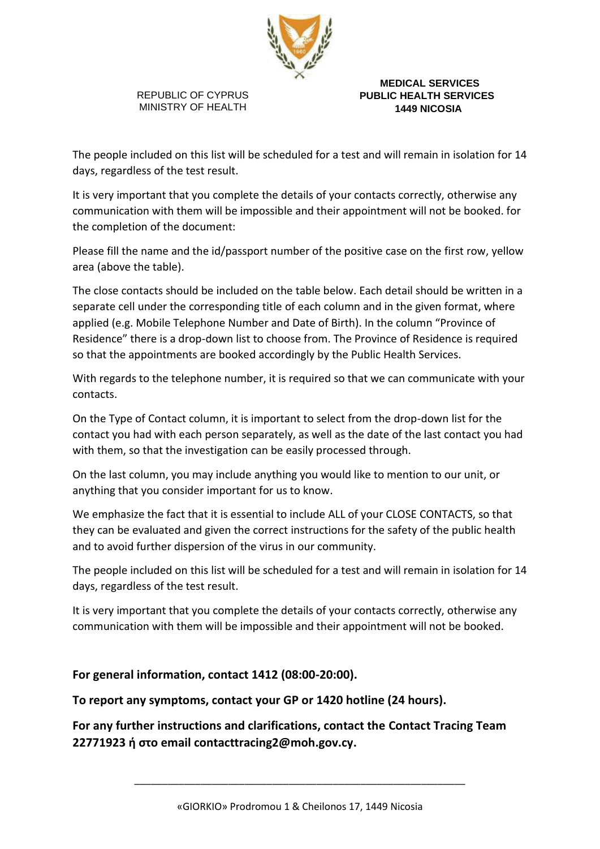

 **MEDICAL SERVICES PUBLIC HEALTH SERVICES 1449 NICOSIA**

The people included on this list will be scheduled for a test and will remain in isolation for 14 days, regardless of the test result.

It is very important that you complete the details of your contacts correctly, otherwise any communication with them will be impossible and their appointment will not be booked. for the completion of the document:

Please fill the name and the id/passport number of the positive case on the first row, yellow area (above the table).

The close contacts should be included on the table below. Each detail should be written in a separate cell under the corresponding title of each column and in the given format, where applied (e.g. Mobile Telephone Number and Date of Birth). In the column "Province of Residence" there is a drop-down list to choose from. The Province of Residence is required so that the appointments are booked accordingly by the Public Health Services.

With regards to the telephone number, it is required so that we can communicate with your contacts.

On the Type of Contact column, it is important to select from the drop-down list for the contact you had with each person separately, as well as the date of the last contact you had with them, so that the investigation can be easily processed through.

On the last column, you may include anything you would like to mention to our unit, or anything that you consider important for us to know.

We emphasize the fact that it is essential to include ALL of your CLOSE CONTACTS, so that they can be evaluated and given the correct instructions for the safety of the public health and to avoid further dispersion of the virus in our community.

The people included on this list will be scheduled for a test and will remain in isolation for 14 days, regardless of the test result.

It is very important that you complete the details of your contacts correctly, otherwise any communication with them will be impossible and their appointment will not be booked.

# **For general information, contact 1412 (08:00-20:00).**

# **To report any symptoms, contact your GP or 1420 hotline (24 hours).**

**For any further instructions and clarifications, contact the Contact Tracing Team 22771923 ή στο email contacttracing2@moh.gov.cy.**